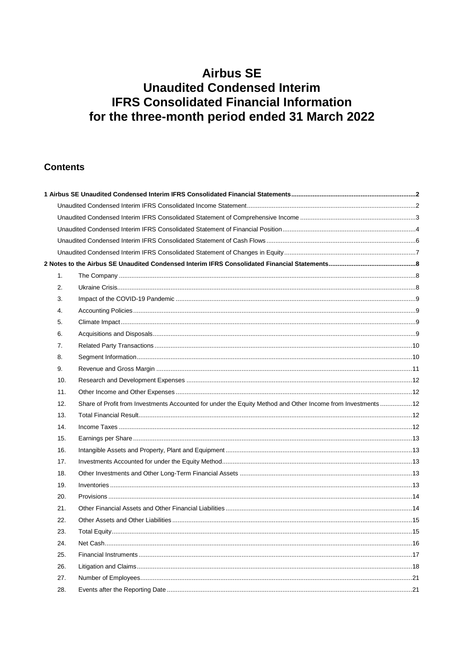### **Contents**

| 1.  |                                                                                                            |  |
|-----|------------------------------------------------------------------------------------------------------------|--|
| 2.  |                                                                                                            |  |
| 3.  |                                                                                                            |  |
| 4.  |                                                                                                            |  |
| 5.  |                                                                                                            |  |
| 6.  |                                                                                                            |  |
| 7.  |                                                                                                            |  |
| 8.  |                                                                                                            |  |
| 9.  |                                                                                                            |  |
| 10. |                                                                                                            |  |
| 11. |                                                                                                            |  |
| 12. | Share of Profit from Investments Accounted for under the Equity Method and Other Income from Investments12 |  |
| 13. |                                                                                                            |  |
| 14. |                                                                                                            |  |
| 15. |                                                                                                            |  |
| 16. |                                                                                                            |  |
| 17. |                                                                                                            |  |
| 18. |                                                                                                            |  |
| 19. |                                                                                                            |  |
| 20. |                                                                                                            |  |
| 21. |                                                                                                            |  |
| 22. |                                                                                                            |  |
| 23. |                                                                                                            |  |
| 24. |                                                                                                            |  |
| 25. |                                                                                                            |  |
| 26. |                                                                                                            |  |
| 27. |                                                                                                            |  |
| 28. |                                                                                                            |  |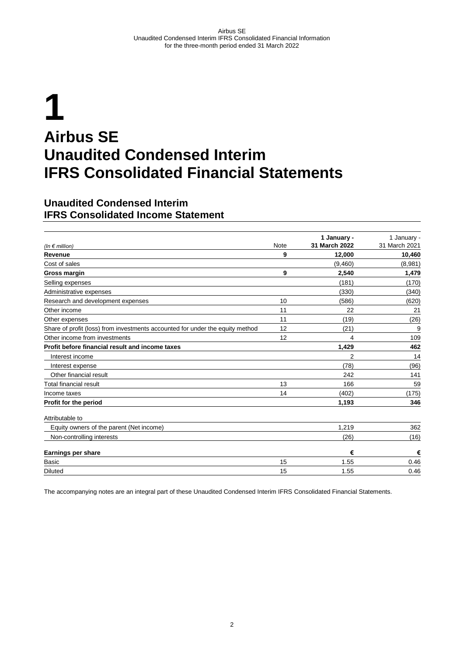# <span id="page-1-0"></span>**1 Airbus SE Unaudited Condensed Interim IFRS Consolidated Financial Statements**

#### <span id="page-1-1"></span>**Unaudited Condensed Interim IFRS Consolidated Income Statement**

| (In $\notin$ million)                                                         | <b>Note</b> | 1 January -<br>31 March 2022 | 1 January -<br>31 March 2021 |
|-------------------------------------------------------------------------------|-------------|------------------------------|------------------------------|
| Revenue                                                                       | 9           | 12,000                       | 10,460                       |
| Cost of sales                                                                 |             | (9,460)                      | (8,981)                      |
| Gross margin                                                                  | 9           | 2,540                        | 1,479                        |
| Selling expenses                                                              |             | (181)                        | (170)                        |
| Administrative expenses                                                       |             | (330)                        | (340)                        |
| Research and development expenses                                             | 10          | (586)                        | (620)                        |
| Other income                                                                  | 11          | 22                           | 21                           |
| Other expenses                                                                | 11          | (19)                         | (26)                         |
| Share of profit (loss) from investments accounted for under the equity method | 12          | (21)                         | 9                            |
| Other income from investments                                                 | 12          | 4                            | 109                          |
| Profit before financial result and income taxes                               |             | 1,429                        | 462                          |
| Interest income                                                               |             | 2                            | 14                           |
| Interest expense                                                              |             | (78)                         | (96)                         |
| Other financial result                                                        |             | 242                          | 141                          |
| <b>Total financial result</b>                                                 | 13          | 166                          | 59                           |
| Income taxes                                                                  | 14          | (402)                        | (175)                        |
| Profit for the period                                                         |             | 1,193                        | 346                          |
| Attributable to                                                               |             |                              |                              |
| Equity owners of the parent (Net income)                                      |             | 1,219                        | 362                          |
| Non-controlling interests                                                     |             | (26)                         | (16)                         |
| Earnings per share                                                            |             | €                            | €                            |
| Basic                                                                         | 15          | 1.55                         | 0.46                         |
| <b>Diluted</b>                                                                | 15          | 1.55                         | 0.46                         |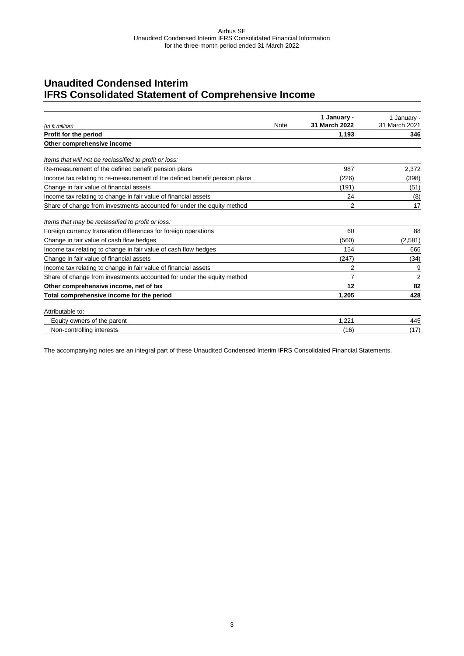### <span id="page-2-0"></span>**Unaudited Condensed Interim IFRS Consolidated Statement of Comprehensive Income**

|                                                                            |      | 1 January -   | 1 January -    |
|----------------------------------------------------------------------------|------|---------------|----------------|
| (In $\notin$ million)                                                      | Note | 31 March 2022 | 31 March 2021  |
| Profit for the period                                                      |      | 1,193         | 346            |
| Other comprehensive income                                                 |      |               |                |
| Items that will not be reclassified to profit or loss:                     |      |               |                |
| Re-measurement of the defined benefit pension plans                        |      | 987           | 2,372          |
| Income tax relating to re-measurement of the defined benefit pension plans |      | (226)         | (398)          |
| Change in fair value of financial assets                                   |      | (191)         | (51)           |
| Income tax relating to change in fair value of financial assets            |      | 24            | (8)            |
| Share of change from investments accounted for under the equity method     |      | 2             | 17             |
| Items that may be reclassified to profit or loss:                          |      |               |                |
| Foreign currency translation differences for foreign operations            |      | 60            | 88             |
| Change in fair value of cash flow hedges                                   |      | (560)         | (2,581)        |
| Income tax relating to change in fair value of cash flow hedges            |      | 154           | 666            |
| Change in fair value of financial assets                                   |      | (247)         | (34)           |
| Income tax relating to change in fair value of financial assets            |      | 2             | 9              |
| Share of change from investments accounted for under the equity method     |      | 7             | $\overline{2}$ |
| Other comprehensive income, net of tax                                     |      | 12            | 82             |
| Total comprehensive income for the period                                  |      | 1,205         | 428            |
| Attributable to:                                                           |      |               |                |
| Equity owners of the parent                                                |      | 1.221         | 445            |
| Non-controlling interests                                                  |      | (16)          | (17)           |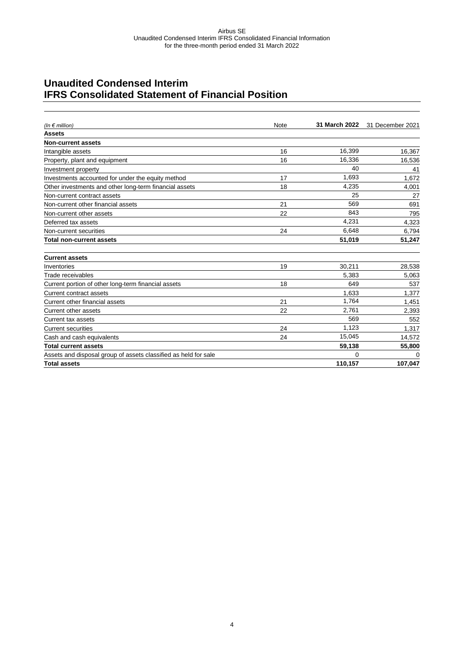### <span id="page-3-0"></span>**Unaudited Condensed Interim IFRS Consolidated Statement of Financial Position**

| (In $\epsilon$ million)                                         | Note | 31 March 2022 | 31 December 2021 |
|-----------------------------------------------------------------|------|---------------|------------------|
| <b>Assets</b>                                                   |      |               |                  |
| <b>Non-current assets</b>                                       |      |               |                  |
| Intangible assets                                               | 16   | 16,399        | 16,367           |
| Property, plant and equipment                                   | 16   | 16,336        | 16,536           |
| Investment property                                             |      | 40            | 41               |
| Investments accounted for under the equity method               | 17   | 1,693         | 1,672            |
| Other investments and other long-term financial assets          | 18   | 4,235         | 4,001            |
| Non-current contract assets                                     |      | 25            | 27               |
| Non-current other financial assets                              | 21   | 569           | 691              |
| Non-current other assets                                        | 22   | 843           | 795              |
| Deferred tax assets                                             |      | 4,231         | 4,323            |
| Non-current securities                                          | 24   | 6,648         | 6,794            |
| <b>Total non-current assets</b>                                 |      | 51,019        | 51,247           |
| <b>Current assets</b>                                           |      |               |                  |
| Inventories                                                     | 19   | 30,211        | 28,538           |
| Trade receivables                                               |      | 5,383         | 5,063            |
| Current portion of other long-term financial assets             | 18   | 649           | 537              |
| Current contract assets                                         |      | 1,633         | 1,377            |
| Current other financial assets                                  | 21   | 1,764         | 1,451            |
| Current other assets                                            | 22   | 2,761         | 2,393            |
| <b>Current tax assets</b>                                       |      | 569           | 552              |
| <b>Current securities</b>                                       | 24   | 1,123         | 1,317            |
| Cash and cash equivalents                                       | 24   | 15,045        | 14,572           |
| <b>Total current assets</b>                                     |      | 59,138        | 55,800           |
| Assets and disposal group of assets classified as held for sale |      | 0             | $\Omega$         |
| <b>Total assets</b>                                             |      | 110,157       | 107,047          |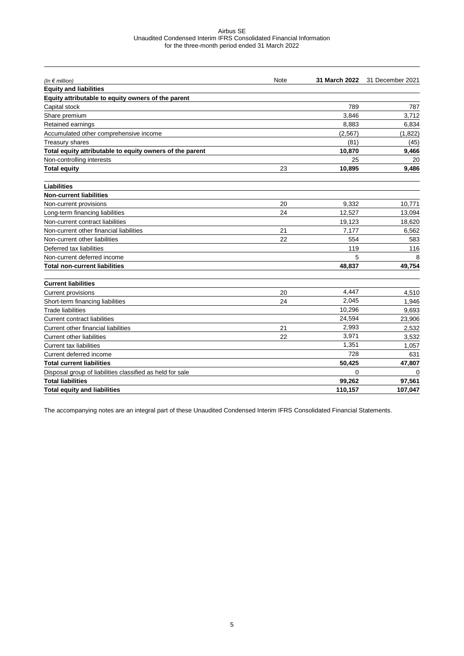| (In $\notin$ million)                                     | Note | <b>31 March 2022</b> | 31 December 2021 |
|-----------------------------------------------------------|------|----------------------|------------------|
| <b>Equity and liabilities</b>                             |      |                      |                  |
| Equity attributable to equity owners of the parent        |      |                      |                  |
| Capital stock                                             |      | 789                  | 787              |
| Share premium                                             |      | 3.846                | 3.712            |
| Retained earnings                                         |      | 8,883                | 6,834            |
| Accumulated other comprehensive income                    |      | (2,567)              | (1,822)          |
| <b>Treasury shares</b>                                    |      | (81)                 | (45)             |
| Total equity attributable to equity owners of the parent  |      | 10,870               | 9,466            |
| Non-controlling interests                                 |      | 25                   | 20               |
| <b>Total equity</b>                                       | 23   | 10,895               | 9,486            |
| <b>Liabilities</b>                                        |      |                      |                  |
| <b>Non-current liabilities</b>                            |      |                      |                  |
| Non-current provisions                                    | 20   | 9,332                | 10,771           |
| Long-term financing liabilities                           | 24   | 12.527               | 13.094           |
| Non-current contract liabilities                          |      | 19,123               | 18,620           |
| Non-current other financial liabilities                   | 21   | 7.177                | 6,562            |
| Non-current other liabilities                             | 22   | 554                  | 583              |
| Deferred tax liabilities                                  |      | 119                  | 116              |
| Non-current deferred income                               |      | 5                    | 8                |
| <b>Total non-current liabilities</b>                      |      | 48,837               | 49,754           |
| <b>Current liabilities</b>                                |      |                      |                  |
| <b>Current provisions</b>                                 | 20   | 4.447                | 4.510            |
| Short-term financing liabilities                          | 24   | 2.045                | 1,946            |
| Trade liabilities                                         |      | 10,296               | 9,693            |
| <b>Current contract liabilities</b>                       |      | 24,594               | 23,906           |
| Current other financial liabilities                       | 21   | 2,993                | 2,532            |
| <b>Current other liabilities</b>                          | 22   | 3,971                | 3,532            |
| <b>Current tax liabilities</b>                            |      | 1,351                | 1,057            |
| Current deferred income                                   |      | 728                  | 631              |
| <b>Total current liabilities</b>                          |      | 50,425               | 47,807           |
| Disposal group of liabilities classified as held for sale |      | 0                    | 0                |
| <b>Total liabilities</b>                                  |      | 99,262               | 97,561           |
| <b>Total equity and liabilities</b>                       |      | 110,157              | 107,047          |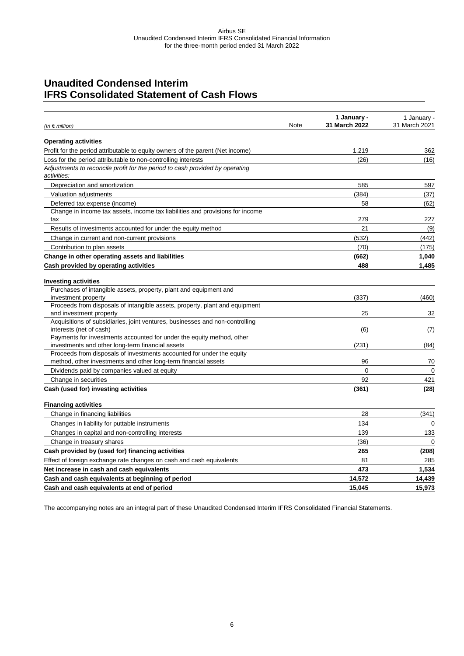### <span id="page-5-0"></span>**Unaudited Condensed Interim IFRS Consolidated Statement of Cash Flows**

| <b>Operating activities</b><br>Profit for the period attributable to equity owners of the parent (Net income)<br>1.219<br>(26)<br>Loss for the period attributable to non-controlling interests<br>Adjustments to reconcile profit for the period to cash provided by operating<br>activities:<br>585<br>Depreciation and amortization<br>Valuation adjustments<br>(384)<br>Deferred tax expense (income)<br>58<br>Change in income tax assets, income tax liabilities and provisions for income<br>279<br>tax<br>21<br>Results of investments accounted for under the equity method<br>Change in current and non-current provisions<br>(532)<br>(70)<br>Contribution to plan assets<br>Change in other operating assets and liabilities<br>(662)<br>Cash provided by operating activities<br>488<br><b>Investing activities</b><br>Purchases of intangible assets, property, plant and equipment and<br>(337)<br>investment property<br>Proceeds from disposals of intangible assets, property, plant and equipment<br>and investment property<br>25<br>Acquisitions of subsidiaries, joint ventures, businesses and non-controlling<br>(6)<br>interests (net of cash)<br>Payments for investments accounted for under the equity method, other<br>investments and other long-term financial assets<br>(231)<br>Proceeds from disposals of investments accounted for under the equity<br>method, other investments and other long-term financial assets<br>96<br>$\Omega$<br>Dividends paid by companies valued at equity<br>92<br>Change in securities<br>Cash (used for) investing activities<br>(361)<br><b>Financing activities</b><br>28<br>Change in financing liabilities<br>134<br>Changes in liability for puttable instruments<br>139<br>Changes in capital and non-controlling interests<br>Change in treasury shares<br>(36)<br>265<br>Cash provided by (used for) financing activities<br>81<br>Effect of foreign exchange rate changes on cash and cash equivalents<br>473<br>Net increase in cash and cash equivalents<br>14.572<br>Cash and cash equivalents at beginning of period | (In $\epsilon$ million)                    | Note | 1 January -<br>31 March 2022 | 1 January -<br>31 March 2021 |
|------------------------------------------------------------------------------------------------------------------------------------------------------------------------------------------------------------------------------------------------------------------------------------------------------------------------------------------------------------------------------------------------------------------------------------------------------------------------------------------------------------------------------------------------------------------------------------------------------------------------------------------------------------------------------------------------------------------------------------------------------------------------------------------------------------------------------------------------------------------------------------------------------------------------------------------------------------------------------------------------------------------------------------------------------------------------------------------------------------------------------------------------------------------------------------------------------------------------------------------------------------------------------------------------------------------------------------------------------------------------------------------------------------------------------------------------------------------------------------------------------------------------------------------------------------------------------------------------------------------------------------------------------------------------------------------------------------------------------------------------------------------------------------------------------------------------------------------------------------------------------------------------------------------------------------------------------------------------------------------------------------------------------------------------------------------------------------------------------|--------------------------------------------|------|------------------------------|------------------------------|
|                                                                                                                                                                                                                                                                                                                                                                                                                                                                                                                                                                                                                                                                                                                                                                                                                                                                                                                                                                                                                                                                                                                                                                                                                                                                                                                                                                                                                                                                                                                                                                                                                                                                                                                                                                                                                                                                                                                                                                                                                                                                                                      |                                            |      |                              |                              |
|                                                                                                                                                                                                                                                                                                                                                                                                                                                                                                                                                                                                                                                                                                                                                                                                                                                                                                                                                                                                                                                                                                                                                                                                                                                                                                                                                                                                                                                                                                                                                                                                                                                                                                                                                                                                                                                                                                                                                                                                                                                                                                      |                                            |      |                              | 362                          |
|                                                                                                                                                                                                                                                                                                                                                                                                                                                                                                                                                                                                                                                                                                                                                                                                                                                                                                                                                                                                                                                                                                                                                                                                                                                                                                                                                                                                                                                                                                                                                                                                                                                                                                                                                                                                                                                                                                                                                                                                                                                                                                      |                                            |      |                              | (16)                         |
|                                                                                                                                                                                                                                                                                                                                                                                                                                                                                                                                                                                                                                                                                                                                                                                                                                                                                                                                                                                                                                                                                                                                                                                                                                                                                                                                                                                                                                                                                                                                                                                                                                                                                                                                                                                                                                                                                                                                                                                                                                                                                                      |                                            |      |                              |                              |
|                                                                                                                                                                                                                                                                                                                                                                                                                                                                                                                                                                                                                                                                                                                                                                                                                                                                                                                                                                                                                                                                                                                                                                                                                                                                                                                                                                                                                                                                                                                                                                                                                                                                                                                                                                                                                                                                                                                                                                                                                                                                                                      |                                            |      |                              | 597                          |
|                                                                                                                                                                                                                                                                                                                                                                                                                                                                                                                                                                                                                                                                                                                                                                                                                                                                                                                                                                                                                                                                                                                                                                                                                                                                                                                                                                                                                                                                                                                                                                                                                                                                                                                                                                                                                                                                                                                                                                                                                                                                                                      |                                            |      |                              |                              |
|                                                                                                                                                                                                                                                                                                                                                                                                                                                                                                                                                                                                                                                                                                                                                                                                                                                                                                                                                                                                                                                                                                                                                                                                                                                                                                                                                                                                                                                                                                                                                                                                                                                                                                                                                                                                                                                                                                                                                                                                                                                                                                      |                                            |      |                              | (37)                         |
|                                                                                                                                                                                                                                                                                                                                                                                                                                                                                                                                                                                                                                                                                                                                                                                                                                                                                                                                                                                                                                                                                                                                                                                                                                                                                                                                                                                                                                                                                                                                                                                                                                                                                                                                                                                                                                                                                                                                                                                                                                                                                                      |                                            |      |                              | (62)                         |
|                                                                                                                                                                                                                                                                                                                                                                                                                                                                                                                                                                                                                                                                                                                                                                                                                                                                                                                                                                                                                                                                                                                                                                                                                                                                                                                                                                                                                                                                                                                                                                                                                                                                                                                                                                                                                                                                                                                                                                                                                                                                                                      |                                            |      |                              | 227                          |
|                                                                                                                                                                                                                                                                                                                                                                                                                                                                                                                                                                                                                                                                                                                                                                                                                                                                                                                                                                                                                                                                                                                                                                                                                                                                                                                                                                                                                                                                                                                                                                                                                                                                                                                                                                                                                                                                                                                                                                                                                                                                                                      |                                            |      |                              | (9)                          |
|                                                                                                                                                                                                                                                                                                                                                                                                                                                                                                                                                                                                                                                                                                                                                                                                                                                                                                                                                                                                                                                                                                                                                                                                                                                                                                                                                                                                                                                                                                                                                                                                                                                                                                                                                                                                                                                                                                                                                                                                                                                                                                      |                                            |      |                              | (442)                        |
|                                                                                                                                                                                                                                                                                                                                                                                                                                                                                                                                                                                                                                                                                                                                                                                                                                                                                                                                                                                                                                                                                                                                                                                                                                                                                                                                                                                                                                                                                                                                                                                                                                                                                                                                                                                                                                                                                                                                                                                                                                                                                                      |                                            |      |                              | (175)                        |
|                                                                                                                                                                                                                                                                                                                                                                                                                                                                                                                                                                                                                                                                                                                                                                                                                                                                                                                                                                                                                                                                                                                                                                                                                                                                                                                                                                                                                                                                                                                                                                                                                                                                                                                                                                                                                                                                                                                                                                                                                                                                                                      |                                            |      |                              | 1,040                        |
|                                                                                                                                                                                                                                                                                                                                                                                                                                                                                                                                                                                                                                                                                                                                                                                                                                                                                                                                                                                                                                                                                                                                                                                                                                                                                                                                                                                                                                                                                                                                                                                                                                                                                                                                                                                                                                                                                                                                                                                                                                                                                                      |                                            |      |                              | 1,485                        |
|                                                                                                                                                                                                                                                                                                                                                                                                                                                                                                                                                                                                                                                                                                                                                                                                                                                                                                                                                                                                                                                                                                                                                                                                                                                                                                                                                                                                                                                                                                                                                                                                                                                                                                                                                                                                                                                                                                                                                                                                                                                                                                      |                                            |      |                              |                              |
|                                                                                                                                                                                                                                                                                                                                                                                                                                                                                                                                                                                                                                                                                                                                                                                                                                                                                                                                                                                                                                                                                                                                                                                                                                                                                                                                                                                                                                                                                                                                                                                                                                                                                                                                                                                                                                                                                                                                                                                                                                                                                                      |                                            |      |                              |                              |
|                                                                                                                                                                                                                                                                                                                                                                                                                                                                                                                                                                                                                                                                                                                                                                                                                                                                                                                                                                                                                                                                                                                                                                                                                                                                                                                                                                                                                                                                                                                                                                                                                                                                                                                                                                                                                                                                                                                                                                                                                                                                                                      |                                            |      |                              | (460)                        |
|                                                                                                                                                                                                                                                                                                                                                                                                                                                                                                                                                                                                                                                                                                                                                                                                                                                                                                                                                                                                                                                                                                                                                                                                                                                                                                                                                                                                                                                                                                                                                                                                                                                                                                                                                                                                                                                                                                                                                                                                                                                                                                      |                                            |      |                              |                              |
|                                                                                                                                                                                                                                                                                                                                                                                                                                                                                                                                                                                                                                                                                                                                                                                                                                                                                                                                                                                                                                                                                                                                                                                                                                                                                                                                                                                                                                                                                                                                                                                                                                                                                                                                                                                                                                                                                                                                                                                                                                                                                                      |                                            |      |                              | 32                           |
|                                                                                                                                                                                                                                                                                                                                                                                                                                                                                                                                                                                                                                                                                                                                                                                                                                                                                                                                                                                                                                                                                                                                                                                                                                                                                                                                                                                                                                                                                                                                                                                                                                                                                                                                                                                                                                                                                                                                                                                                                                                                                                      |                                            |      |                              |                              |
|                                                                                                                                                                                                                                                                                                                                                                                                                                                                                                                                                                                                                                                                                                                                                                                                                                                                                                                                                                                                                                                                                                                                                                                                                                                                                                                                                                                                                                                                                                                                                                                                                                                                                                                                                                                                                                                                                                                                                                                                                                                                                                      |                                            |      |                              | (7)                          |
|                                                                                                                                                                                                                                                                                                                                                                                                                                                                                                                                                                                                                                                                                                                                                                                                                                                                                                                                                                                                                                                                                                                                                                                                                                                                                                                                                                                                                                                                                                                                                                                                                                                                                                                                                                                                                                                                                                                                                                                                                                                                                                      |                                            |      |                              |                              |
|                                                                                                                                                                                                                                                                                                                                                                                                                                                                                                                                                                                                                                                                                                                                                                                                                                                                                                                                                                                                                                                                                                                                                                                                                                                                                                                                                                                                                                                                                                                                                                                                                                                                                                                                                                                                                                                                                                                                                                                                                                                                                                      |                                            |      |                              | (84)                         |
|                                                                                                                                                                                                                                                                                                                                                                                                                                                                                                                                                                                                                                                                                                                                                                                                                                                                                                                                                                                                                                                                                                                                                                                                                                                                                                                                                                                                                                                                                                                                                                                                                                                                                                                                                                                                                                                                                                                                                                                                                                                                                                      |                                            |      |                              |                              |
|                                                                                                                                                                                                                                                                                                                                                                                                                                                                                                                                                                                                                                                                                                                                                                                                                                                                                                                                                                                                                                                                                                                                                                                                                                                                                                                                                                                                                                                                                                                                                                                                                                                                                                                                                                                                                                                                                                                                                                                                                                                                                                      |                                            |      |                              | 70                           |
|                                                                                                                                                                                                                                                                                                                                                                                                                                                                                                                                                                                                                                                                                                                                                                                                                                                                                                                                                                                                                                                                                                                                                                                                                                                                                                                                                                                                                                                                                                                                                                                                                                                                                                                                                                                                                                                                                                                                                                                                                                                                                                      |                                            |      |                              | $\Omega$                     |
|                                                                                                                                                                                                                                                                                                                                                                                                                                                                                                                                                                                                                                                                                                                                                                                                                                                                                                                                                                                                                                                                                                                                                                                                                                                                                                                                                                                                                                                                                                                                                                                                                                                                                                                                                                                                                                                                                                                                                                                                                                                                                                      |                                            |      |                              | 421                          |
|                                                                                                                                                                                                                                                                                                                                                                                                                                                                                                                                                                                                                                                                                                                                                                                                                                                                                                                                                                                                                                                                                                                                                                                                                                                                                                                                                                                                                                                                                                                                                                                                                                                                                                                                                                                                                                                                                                                                                                                                                                                                                                      |                                            |      |                              | (28)                         |
|                                                                                                                                                                                                                                                                                                                                                                                                                                                                                                                                                                                                                                                                                                                                                                                                                                                                                                                                                                                                                                                                                                                                                                                                                                                                                                                                                                                                                                                                                                                                                                                                                                                                                                                                                                                                                                                                                                                                                                                                                                                                                                      |                                            |      |                              |                              |
|                                                                                                                                                                                                                                                                                                                                                                                                                                                                                                                                                                                                                                                                                                                                                                                                                                                                                                                                                                                                                                                                                                                                                                                                                                                                                                                                                                                                                                                                                                                                                                                                                                                                                                                                                                                                                                                                                                                                                                                                                                                                                                      |                                            |      |                              | (341)                        |
|                                                                                                                                                                                                                                                                                                                                                                                                                                                                                                                                                                                                                                                                                                                                                                                                                                                                                                                                                                                                                                                                                                                                                                                                                                                                                                                                                                                                                                                                                                                                                                                                                                                                                                                                                                                                                                                                                                                                                                                                                                                                                                      |                                            |      |                              | $\Omega$                     |
|                                                                                                                                                                                                                                                                                                                                                                                                                                                                                                                                                                                                                                                                                                                                                                                                                                                                                                                                                                                                                                                                                                                                                                                                                                                                                                                                                                                                                                                                                                                                                                                                                                                                                                                                                                                                                                                                                                                                                                                                                                                                                                      |                                            |      |                              | 133                          |
|                                                                                                                                                                                                                                                                                                                                                                                                                                                                                                                                                                                                                                                                                                                                                                                                                                                                                                                                                                                                                                                                                                                                                                                                                                                                                                                                                                                                                                                                                                                                                                                                                                                                                                                                                                                                                                                                                                                                                                                                                                                                                                      |                                            |      |                              | $\Omega$                     |
|                                                                                                                                                                                                                                                                                                                                                                                                                                                                                                                                                                                                                                                                                                                                                                                                                                                                                                                                                                                                                                                                                                                                                                                                                                                                                                                                                                                                                                                                                                                                                                                                                                                                                                                                                                                                                                                                                                                                                                                                                                                                                                      |                                            |      |                              | (208)                        |
|                                                                                                                                                                                                                                                                                                                                                                                                                                                                                                                                                                                                                                                                                                                                                                                                                                                                                                                                                                                                                                                                                                                                                                                                                                                                                                                                                                                                                                                                                                                                                                                                                                                                                                                                                                                                                                                                                                                                                                                                                                                                                                      |                                            |      |                              | 285                          |
|                                                                                                                                                                                                                                                                                                                                                                                                                                                                                                                                                                                                                                                                                                                                                                                                                                                                                                                                                                                                                                                                                                                                                                                                                                                                                                                                                                                                                                                                                                                                                                                                                                                                                                                                                                                                                                                                                                                                                                                                                                                                                                      |                                            |      |                              | 1,534                        |
|                                                                                                                                                                                                                                                                                                                                                                                                                                                                                                                                                                                                                                                                                                                                                                                                                                                                                                                                                                                                                                                                                                                                                                                                                                                                                                                                                                                                                                                                                                                                                                                                                                                                                                                                                                                                                                                                                                                                                                                                                                                                                                      |                                            |      |                              | 14.439                       |
|                                                                                                                                                                                                                                                                                                                                                                                                                                                                                                                                                                                                                                                                                                                                                                                                                                                                                                                                                                                                                                                                                                                                                                                                                                                                                                                                                                                                                                                                                                                                                                                                                                                                                                                                                                                                                                                                                                                                                                                                                                                                                                      | Cash and cash equivalents at end of period |      | 15,045                       | 15,973                       |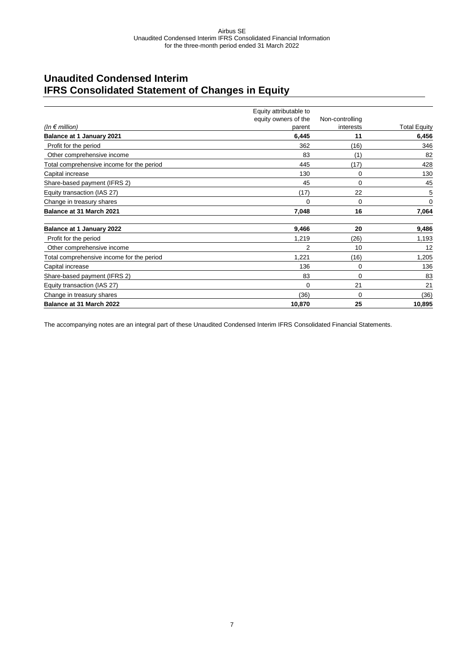### <span id="page-6-0"></span>**Unaudited Condensed Interim IFRS Consolidated Statement of Changes in Equity**

|                                           | Equity attributable to |                 |                     |
|-------------------------------------------|------------------------|-----------------|---------------------|
|                                           | equity owners of the   | Non-controlling |                     |
| (In $\epsilon$ million)                   | parent                 | interests       | <b>Total Equity</b> |
| <b>Balance at 1 January 2021</b>          | 6,445                  | 11              | 6,456               |
| Profit for the period                     | 362                    | (16)            | 346                 |
| Other comprehensive income                | 83                     | (1)             | 82                  |
| Total comprehensive income for the period | 445                    | (17)            | 428                 |
| Capital increase                          | 130                    | 0               | 130                 |
| Share-based payment (IFRS 2)              | 45                     | 0               | 45                  |
| Equity transaction (IAS 27)               | (17)                   | 22              | 5                   |
| Change in treasury shares                 | $\Omega$               | 0               | 0                   |
| Balance at 31 March 2021                  | 7,048                  | 16              | 7,064               |
| Balance at 1 January 2022                 | 9,466                  | 20              | 9,486               |
| Profit for the period                     | 1,219                  | (26)            | 1,193               |
| Other comprehensive income                | $\overline{2}$         | 10              | 12                  |
| Total comprehensive income for the period | 1,221                  | (16)            | 1,205               |
| Capital increase                          | 136                    | 0               | 136                 |
| Share-based payment (IFRS 2)              | 83                     | 0               | 83                  |
| Equity transaction (IAS 27)               | $\Omega$               | 21              | 21                  |
| Change in treasury shares                 | (36)                   | 0               | (36)                |
| Balance at 31 March 2022                  | 10,870                 | 25              | 10,895              |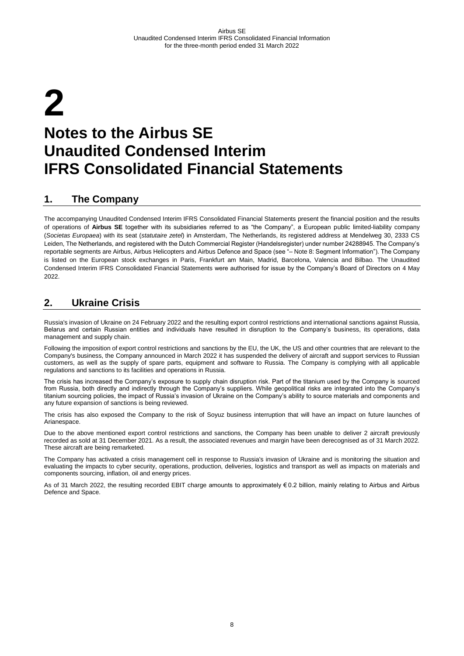# <span id="page-7-0"></span>**2 Notes to the Airbus SE Unaudited Condensed Interim IFRS Consolidated Financial Statements**

### <span id="page-7-1"></span>**1. The Company**

The accompanying Unaudited Condensed Interim IFRS Consolidated Financial Statements present the financial position and the results of operations of **Airbus SE** together with its subsidiaries referred to as "the Company", a European public limited-liability company (*Societas Europaea*) with its seat (*statutaire zetel*) in Amsterdam, The Netherlands, its registered address at Mendelweg 30, 2333 CS Leiden, The Netherlands, and registered with the Dutch Commercial Register (Handelsregister) under number 24288945. The Company's reportable segments are Airbus, Airbus Helicopters and Airbus Defence and Space (see "– Note 8: Segment Information"). The Company is listed on the European stock exchanges in Paris, Frankfurt am Main, Madrid, Barcelona, Valencia and Bilbao. The Unaudited Condensed Interim IFRS Consolidated Financial Statements were authorised for issue by the Company's Board of Directors on 4 May 2022.

### <span id="page-7-2"></span>**2. Ukraine Crisis**

Russia's invasion of Ukraine on 24 February 2022 and the resulting export control restrictions and international sanctions against Russia, Belarus and certain Russian entities and individuals have resulted in disruption to the Company's business, its operations, data management and supply chain.

Following the imposition of export control restrictions and sanctions by the EU, the UK, the US and other countries that are relevant to the Company's business, the Company announced in March 2022 it has suspended the delivery of aircraft and support services to Russian customers, as well as the supply of spare parts, equipment and software to Russia. The Company is complying with all applicable regulations and sanctions to its facilities and operations in Russia.

The crisis has increased the Company's exposure to supply chain disruption risk. Part of the titanium used by the Company is sourced from Russia, both directly and indirectly through the Company's suppliers. While geopolitical risks are integrated into the Company's titanium sourcing policies, the impact of Russia's invasion of Ukraine on the Company's ability to source materials and components and any future expansion of sanctions is being reviewed.

The crisis has also exposed the Company to the risk of Soyuz business interruption that will have an impact on future launches of Arianespace.

Due to the above mentioned export control restrictions and sanctions, the Company has been unable to deliver 2 aircraft previously recorded as sold at 31 December 2021. As a result, the associated revenues and margin have been derecognised as of 31 March 2022. These aircraft are being remarketed.

The Company has activated a crisis management cell in response to Russia's invasion of Ukraine and is monitoring the situation and evaluating the impacts to cyber security, operations, production, deliveries, logistics and transport as well as impacts on materials and components sourcing, inflation, oil and energy prices.

As of 31 March 2022, the resulting recorded EBIT charge amounts to approximately € 0.2 billion, mainly relating to Airbus and Airbus Defence and Space.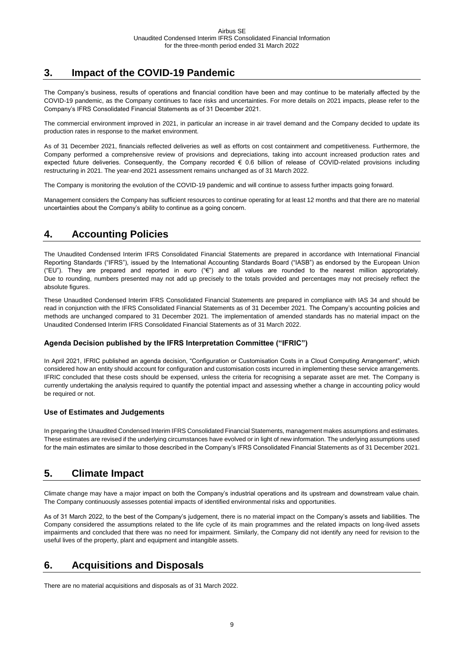### <span id="page-8-0"></span>**3. Impact of the COVID-19 Pandemic**

The Company's business, results of operations and financial condition have been and may continue to be materially affected by the COVID-19 pandemic, as the Company continues to face risks and uncertainties. For more details on 2021 impacts, please refer to the Company's IFRS Consolidated Financial Statements as of 31 December 2021.

The commercial environment improved in 2021, in particular an increase in air travel demand and the Company decided to update its production rates in response to the market environment.

As of 31 December 2021, financials reflected deliveries as well as efforts on cost containment and competitiveness. Furthermore, the Company performed a comprehensive review of provisions and depreciations, taking into account increased production rates and expected future deliveries. Consequently, the Company recorded € 0.6 billion of release of COVID-related provisions including restructuring in 2021. The year-end 2021 assessment remains unchanged as of 31 March 2022.

The Company is monitoring the evolution of the COVID-19 pandemic and will continue to assess further impacts going forward.

Management considers the Company has sufficient resources to continue operating for at least 12 months and that there are no material uncertainties about the Company's ability to continue as a going concern.

### <span id="page-8-1"></span>**4. Accounting Policies**

The Unaudited Condensed Interim IFRS Consolidated Financial Statements are prepared in accordance with International Financial Reporting Standards ("IFRS"), issued by the International Accounting Standards Board ("IASB") as endorsed by the European Union ("EU"). They are prepared and reported in euro ("€") and all values are rounded to the nearest million appropriately. Due to rounding, numbers presented may not add up precisely to the totals provided and percentages may not precisely reflect the absolute figures.

These Unaudited Condensed Interim IFRS Consolidated Financial Statements are prepared in compliance with IAS 34 and should be read in conjunction with the IFRS Consolidated Financial Statements as of 31 December 2021. The Company's accounting policies and methods are unchanged compared to 31 December 2021. The implementation of amended standards has no material impact on the Unaudited Condensed Interim IFRS Consolidated Financial Statements as of 31 March 2022.

#### **Agenda Decision published by the IFRS Interpretation Committee ("IFRIC")**

In April 2021, IFRIC published an agenda decision, "Configuration or Customisation Costs in a Cloud Computing Arrangement", which considered how an entity should account for configuration and customisation costs incurred in implementing these service arrangements. IFRIC concluded that these costs should be expensed, unless the criteria for recognising a separate asset are met. The Company is currently undertaking the analysis required to quantify the potential impact and assessing whether a change in accounting policy would be required or not.

#### **Use of Estimates and Judgements**

In preparing the Unaudited Condensed Interim IFRS Consolidated Financial Statements, management makes assumptions and estimates. These estimates are revised if the underlying circumstances have evolved or in light of new information. The underlying assumptions used for the main estimates are similar to those described in the Company's IFRS Consolidated Financial Statements as of 31 December 2021.

### <span id="page-8-2"></span>**5. Climate Impact**

Climate change may have a major impact on both the Company's industrial operations and its upstream and downstream value chain. The Company continuously assesses potential impacts of identified environmental risks and opportunities.

As of 31 March 2022, to the best of the Company's judgement, there is no material impact on the Company's assets and liabilities. The Company considered the assumptions related to the life cycle of its main programmes and the related impacts on long-lived assets impairments and concluded that there was no need for impairment. Similarly, the Company did not identify any need for revision to the useful lives of the property, plant and equipment and intangible assets.

### <span id="page-8-3"></span>**6. Acquisitions and Disposals**

There are no material acquisitions and disposals as of 31 March 2022.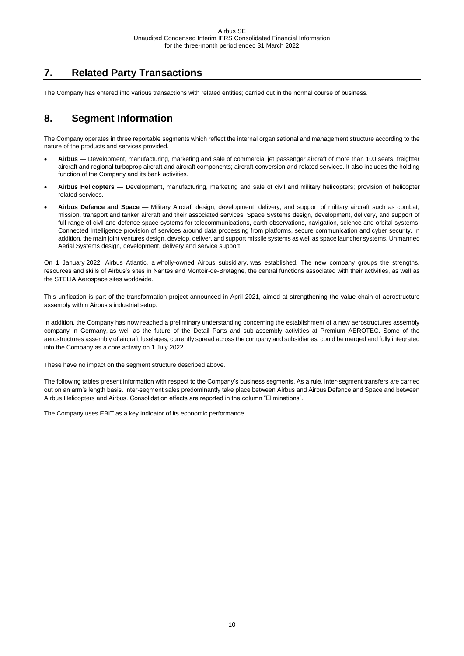### <span id="page-9-0"></span>**7. Related Party Transactions**

The Company has entered into various transactions with related entities; carried out in the normal course of business.

### <span id="page-9-1"></span>**8. Segment Information**

The Company operates in three reportable segments which reflect the internal organisational and management structure according to the nature of the products and services provided.

- **Airbus**  Development, manufacturing, marketing and sale of commercial jet passenger aircraft of more than 100 seats, freighter aircraft and regional turboprop aircraft and aircraft components; aircraft conversion and related services. It also includes the holding function of the Company and its bank activities.
- **Airbus Helicopters** Development, manufacturing, marketing and sale of civil and military helicopters; provision of helicopter related services.
- **Airbus Defence and Space** Military Aircraft design, development, delivery, and support of military aircraft such as combat, mission, transport and tanker aircraft and their associated services. Space Systems design, development, delivery, and support of full range of civil and defence space systems for telecommunications, earth observations, navigation, science and orbital systems. Connected Intelligence provision of services around data processing from platforms, secure communication and cyber security. In addition, the main joint ventures design, develop, deliver, and support missile systems as well as space launcher systems. Unmanned Aerial Systems design, development, delivery and service support.

On 1 January 2022, Airbus Atlantic, a wholly-owned Airbus subsidiary, was established. The new company groups the strengths, resources and skills of Airbus's sites in Nantes and Montoir-de-Bretagne, the central functions associated with their activities, as well as the STELIA Aerospace sites worldwide.

This unification is part of the transformation project announced in April 2021, aimed at strengthening the value chain of aerostructure assembly within Airbus's industrial setup.

In addition, the Company has now reached a preliminary understanding concerning the establishment of a new aerostructures assembly company in Germany, as well as the future of the Detail Parts and sub-assembly activities at Premium AEROTEC. Some of the aerostructures assembly of aircraft fuselages, currently spread across the company and subsidiaries, could be merged and fully integrated into the Company as a core activity on 1 July 2022.

These have no impact on the segment structure described above.

The following tables present information with respect to the Company's business segments. As a rule, inter-segment transfers are carried out on an arm's length basis. Inter-segment sales predominantly take place between Airbus and Airbus Defence and Space and between Airbus Helicopters and Airbus. Consolidation effects are reported in the column "Eliminations".

The Company uses EBIT as a key indicator of its economic performance.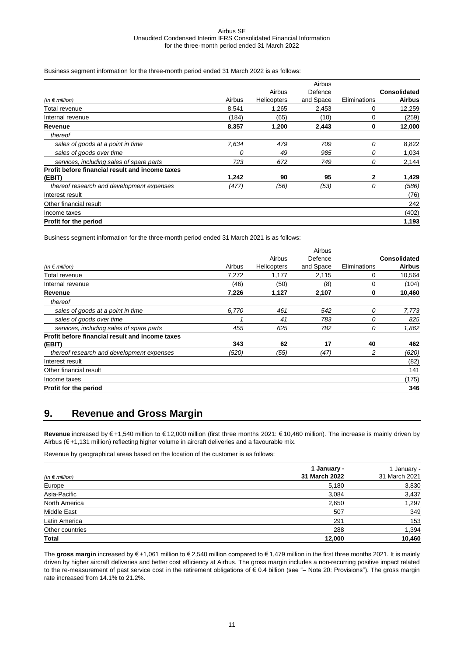Business segment information for the three-month period ended 31 March 2022 is as follows:

|                                                 |        |             | Airbus    |              |               |
|-------------------------------------------------|--------|-------------|-----------|--------------|---------------|
|                                                 |        | Airbus      | Defence   |              | Consolidated  |
| (In $\epsilon$ million)                         | Airbus | Helicopters | and Space | Eliminations | <b>Airbus</b> |
| Total revenue                                   | 8,541  | 1,265       | 2,453     | 0            | 12,259        |
| Internal revenue                                | (184)  | (65)        | (10)      | 0            | (259)         |
| Revenue                                         | 8,357  | 1,200       | 2,443     | 0            | 12,000        |
| thereof                                         |        |             |           |              |               |
| sales of goods at a point in time               | 7,634  | 479         | 709       | 0            | 8,822         |
| sales of goods over time                        | 0      | 49          | 985       | 0            | 1,034         |
| services, including sales of spare parts        | 723    | 672         | 749       | 0            | 2,144         |
| Profit before financial result and income taxes |        |             |           |              |               |
| (EBIT)                                          | 1,242  | 90          | 95        | $\mathbf{2}$ | 1,429         |
| thereof research and development expenses       | (477)  | (56)        | (53)      | 0            | (586)         |
| Interest result                                 |        |             |           |              | (76)          |
| Other financial result                          |        |             |           |              | 242           |
| Income taxes                                    |        |             |           |              | (402)         |
| Profit for the period                           |        |             |           |              | 1,193         |

Business segment information for the three-month period ended 31 March 2021 is as follows:

|        |             | Airbus    |              |                     |
|--------|-------------|-----------|--------------|---------------------|
|        | Airbus      | Defence   |              | <b>Consolidated</b> |
| Airbus | Helicopters | and Space | Eliminations | <b>Airbus</b>       |
| 7,272  | 1,177       | 2,115     | 0            | 10,564              |
| (46)   | (50)        | (8)       | 0            | (104)               |
| 7,226  | 1,127       | 2,107     | 0            | 10,460              |
|        |             |           |              |                     |
| 6,770  | 461         | 542       | 0            | 7,773               |
|        | 41          | 783       | 0            | 825                 |
| 455    | 625         | 782       | 0            | 1,862               |
|        |             |           |              |                     |
| 343    | 62          | 17        | 40           | 462                 |
| (520)  | (55)        | (47)      | 2            | (620)               |
|        |             |           |              | (82)                |
|        |             |           |              | 141                 |
|        |             |           |              | (175)               |
|        |             |           |              | 346                 |
|        |             |           |              |                     |

#### <span id="page-10-0"></span>**9. Revenue and Gross Margin**

**Revenue** increased by € +1,540 million to € 12,000 million (first three months 2021: € 10,460 million). The increase is mainly driven by Airbus (€ +1,131 million) reflecting higher volume in aircraft deliveries and a favourable mix.

Revenue by geographical areas based on the location of the customer is as follows:

| (In $\epsilon$ million) | 1 January -<br>31 March 2022 | 1 January -<br>31 March 2021 |
|-------------------------|------------------------------|------------------------------|
| Europe                  | 5,180                        | 3,830                        |
| Asia-Pacific            | 3,084                        | 3,437                        |
| North America           | 2,650                        | 1,297                        |
| Middle East             | 507                          | 349                          |
| Latin America           | 291                          | 153                          |
| Other countries         | 288                          | 1,394                        |
| <b>Total</b>            | 12.000                       | 10,460                       |

The **gross margin** increased by € +1,061 million to € 2,540 million compared to € 1,479 million in the first three months 2021. It is mainly driven by higher aircraft deliveries and better cost efficiency at Airbus. The gross margin includes a non-recurring positive impact related to the re-measurement of past service cost in the retirement obligations of € 0.4 billion (see "– Note 20: Provisions"). The gross margin rate increased from 14.1% to 21.2%.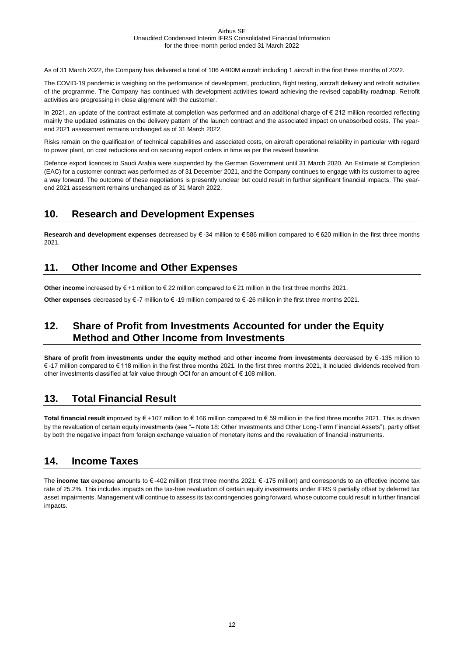As of 31 March 2022, the Company has delivered a total of 106 A400M aircraft including 1 aircraft in the first three months of 2022.

The COVID-19 pandemic is weighing on the performance of development, production, flight testing, aircraft delivery and retrofit activities of the programme. The Company has continued with development activities toward achieving the revised capability roadmap. Retrofit activities are progressing in close alignment with the customer.

In 2021, an update of the contract estimate at completion was performed and an additional charge of € 212 million recorded reflecting mainly the updated estimates on the delivery pattern of the launch contract and the associated impact on unabsorbed costs. The yearend 2021 assessment remains unchanged as of 31 March 2022.

Risks remain on the qualification of technical capabilities and associated costs, on aircraft operational reliability in particular with regard to power plant, on cost reductions and on securing export orders in time as per the revised baseline.

Defence export licences to Saudi Arabia were suspended by the German Government until 31 March 2020. An Estimate at Completion (EAC) for a customer contract was performed as of 31 December 2021, and the Company continues to engage with its customer to agree a way forward. The outcome of these negotiations is presently unclear but could result in further significant financial impacts. The yearend 2021 assessment remains unchanged as of 31 March 2022.

### <span id="page-11-0"></span>**10. Research and Development Expenses**

**Research and development expenses** decreased by € -34 million to € 586 million compared to € 620 million in the first three months 2021.

### <span id="page-11-1"></span>**11. Other Income and Other Expenses**

**Other income** increased by € +1 million to € 22 million compared to € 21 million in the first three months 2021.

<span id="page-11-2"></span>**Other expenses** decreased by € -7 million to € -19 million compared to € -26 million in the first three months 2021.

### **12. Share of Profit from Investments Accounted for under the Equity Method and Other Income from Investments**

**Share of profit from investments under the equity method** and **other income from investments** decreased by € -135 million to € -17 million compared to € 118 million in the first three months 2021. In the first three months 2021, it included dividends received from other investments classified at fair value through OCI for an amount of € 108 million.

### <span id="page-11-3"></span>**13. Total Financial Result**

**Total financial result** improved by € +107 million to € 166 million compared to € 59 million in the first three months 2021. This is driven by the revaluation of certain equity investments (see "– Note 18: Other Investments and Other Long-Term Financial Assets"), partly offset by both the negative impact from foreign exchange valuation of monetary items and the revaluation of financial instruments.

### <span id="page-11-4"></span>**14. Income Taxes**

The **income tax** expense amounts to € -402 million (first three months 2021: € -175 million) and corresponds to an effective income tax rate of 25.2%. This includes impacts on the tax-free revaluation of certain equity investments under IFRS 9 partially offset by deferred tax asset impairments. Management will continue to assess its tax contingencies going forward, whose outcome could result in further financial impacts.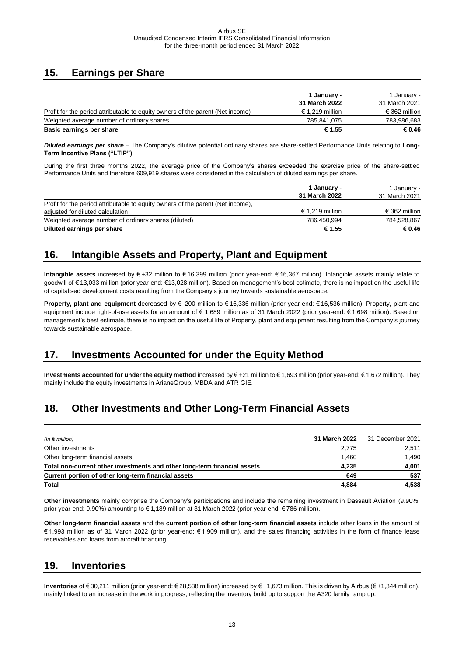### <span id="page-12-0"></span>**15. Earnings per Share**

|                                                                                | 1 January -     | 1 January -   |
|--------------------------------------------------------------------------------|-----------------|---------------|
|                                                                                | 31 March 2022   | 31 March 2021 |
| Profit for the period attributable to equity owners of the parent (Net income) | € 1.219 million | € 362 million |
| Weighted average number of ordinary shares                                     | 785.841.075     | 783,986,683   |
| Basic earnings per share                                                       | € 1.55          | € 0.46        |

*Diluted earnings per share* – The Company's dilutive potential ordinary shares are share-settled Performance Units relating to **Long-Term Incentive Plans ("LTIP").** 

During the first three months 2022, the average price of the Company's shares exceeded the exercise price of the share-settled Performance Units and therefore 609,919 shares were considered in the calculation of diluted earnings per share.

|                                                                                 | 1 January -     | 1 Januarv -   |  |
|---------------------------------------------------------------------------------|-----------------|---------------|--|
|                                                                                 | 31 March 2022   | 31 March 2021 |  |
| Profit for the period attributable to equity owners of the parent (Net income). |                 |               |  |
| adjusted for diluted calculation                                                | € 1.219 million | € 362 million |  |
| Weighted average number of ordinary shares (diluted)                            | 786,450,994     | 784,528,867   |  |
| Diluted earnings per share                                                      | € 1.55          | € 0.46        |  |

## <span id="page-12-1"></span>**16. Intangible Assets and Property, Plant and Equipment**

**Intangible assets** increased by € +32 million to € 16,399 million (prior year-end: € 16,367 million). Intangible assets mainly relate to goodwill of €13,033 million (prior year-end: €13,028 million). Based on management's best estimate, there is no impact on the useful life of capitalised development costs resulting from the Company's journey towards sustainable aerospace.

**Property, plant and equipment** decreased by € -200 million to € 16,336 million (prior year-end: € 16,536 million). Property, plant and equipment include right-of-use assets for an amount of € 1,689 million as of 31 March 2022 (prior year-end: € 1,698 million). Based on management's best estimate, there is no impact on the useful life of Property, plant and equipment resulting from the Company's journey towards sustainable aerospace.

### <span id="page-12-2"></span>**17. Investments Accounted for under the Equity Method**

**Investments accounted for under the equity method** increased by € +21 million to € 1,693 million (prior year-end: € 1,672 million). They mainly include the equity investments in ArianeGroup, MBDA and ATR GIE.

### <span id="page-12-3"></span>**18. Other Investments and Other Long-Term Financial Assets**

| (In $\epsilon$ million)                                                  | 31 March 2022 | 31 December 2021 |
|--------------------------------------------------------------------------|---------------|------------------|
| Other investments                                                        | 2.775         | 2,511            |
| Other long-term financial assets                                         | 1.460         | 1,490            |
| Total non-current other investments and other long-term financial assets | 4.235         | 4,001            |
| Current portion of other long-term financial assets                      | 649           | 537              |
| <b>Total</b>                                                             | 4.884         | 4,538            |

**Other investments** mainly comprise the Company's participations and include the remaining investment in Dassault Aviation (9.90%, prior year-end: 9.90%) amounting to € 1,189 million at 31 March 2022 (prior year-end: € 786 million).

**Other long-term financial assets** and the **current portion of other long-term financial assets** include other loans in the amount of € 1,993 million as of 31 March 2022 (prior year-end: € 1,909 million), and the sales financing activities in the form of finance lease receivables and loans from aircraft financing.

### <span id="page-12-4"></span>**19. Inventories**

**Inventories** of € 30,211 million (prior year-end: € 28,538 million) increased by € +1,673 million. This is driven by Airbus (€ +1,344 million), mainly linked to an increase in the work in progress, reflecting the inventory build up to support the A320 family ramp up.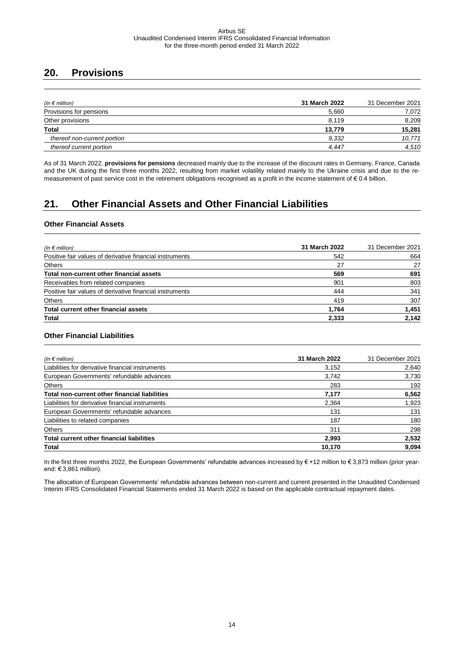### <span id="page-13-0"></span>**20. Provisions**

| (In $\epsilon$ million)     | 31 March 2022 | 31 December 2021 |
|-----------------------------|---------------|------------------|
| Provisions for pensions     | 5,660         | 7,072            |
| Other provisions            | 8.119         | 8,209            |
| <b>Total</b>                | 13.779        | 15,281           |
| thereof non-current portion | 9,332         | 10,771           |
| thereof current portion     | 4.447         | 4,510            |

As of 31 March 2022, **provisions for pensions** decreased mainly due to the increase of the discount rates in Germany, France, Canada and the UK during the first three months 2022, resulting from market volatility related mainly to the Ukraine crisis and due to the remeasurement of past service cost in the retirement obligations recognised as a profit in the income statement of € 0.4 billion.

## <span id="page-13-1"></span>**21. Other Financial Assets and Other Financial Liabilities**

#### **Other Financial Assets**

| (In $\epsilon$ million)                                  | 31 March 2022 | 31 December 2021 |
|----------------------------------------------------------|---------------|------------------|
| Positive fair values of derivative financial instruments | 542           | 664              |
| <b>Others</b>                                            | 27            | 27               |
| Total non-current other financial assets                 | 569           | 691              |
| Receivables from related companies                       | 901           | 803              |
| Positive fair values of derivative financial instruments | 444           | 341              |
| <b>Others</b>                                            | 419           | 307              |
| Total current other financial assets                     | 1.764         | 1,451            |
| <b>Total</b>                                             | 2,333         | 2,142            |

#### **Other Financial Liabilities**

| (In $\epsilon$ million)                          | 31 March 2022 | 31 December 2021 |
|--------------------------------------------------|---------------|------------------|
| Liabilities for derivative financial instruments | 3,152         | 2,640            |
| European Governments' refundable advances        | 3,742         | 3,730            |
| Others                                           | 283           | 192              |
| Total non-current other financial liabilities    | 7,177         | 6,562            |
| Liabilities for derivative financial instruments | 2,364         | 1,923            |
| European Governments' refundable advances        | 131           | 131              |
| Liabilities to related companies                 | 187           | 180              |
| <b>Others</b>                                    | 311           | 298              |
| <b>Total current other financial liabilities</b> | 2,993         | 2,532            |
| <b>Total</b>                                     | 10,170        | 9,094            |

In the first three months 2022, the European Governments' refundable advances increased by € +12 million to € 3,873 million (prior yearend: € 3,861 million).

The allocation of European Governments' refundable advances between non-current and current presented in the Unaudited Condensed Interim IFRS Consolidated Financial Statements ended 31 March 2022 is based on the applicable contractual repayment dates.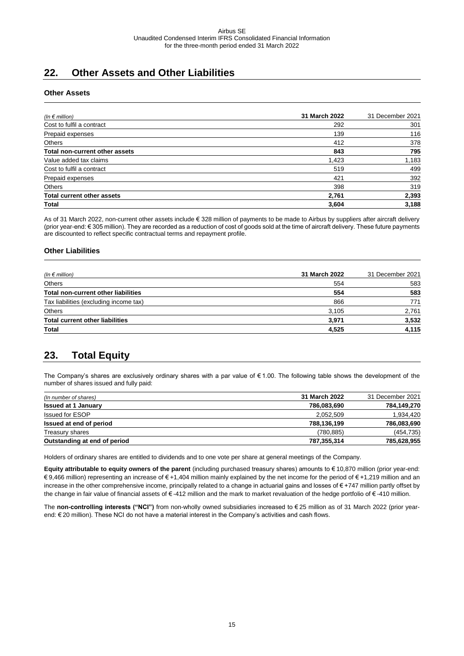### <span id="page-14-0"></span>**22. Other Assets and Other Liabilities**

#### **Other Assets**

| (In $\epsilon$ million)           | 31 March 2022 | 31 December 2021 |
|-----------------------------------|---------------|------------------|
| Cost to fulfil a contract         | 292           | 301              |
| Prepaid expenses                  | 139           | 116              |
| Others                            | 412           | 378              |
| Total non-current other assets    | 843           | 795              |
| Value added tax claims            | 1,423         | 1,183            |
| Cost to fulfil a contract         | 519           | 499              |
| Prepaid expenses                  | 421           | 392              |
| Others                            | 398           | 319              |
| <b>Total current other assets</b> | 2,761         | 2,393            |
| <b>Total</b>                      | 3,604         | 3,188            |

As of 31 March 2022, non-current other assets include € 328 million of payments to be made to Airbus by suppliers after aircraft delivery (prior year-end: € 305 million). They are recorded as a reduction of cost of goods sold at the time of aircraft delivery. These future payments are discounted to reflect specific contractual terms and repayment profile.

#### **Other Liabilities**

| (In $\epsilon$ million)                    | 31 March 2022 | 31 December 2021 |  |
|--------------------------------------------|---------------|------------------|--|
| Others                                     | 554           | 583              |  |
| <b>Total non-current other liabilities</b> | 554           | 583              |  |
| Tax liabilities (excluding income tax)     | 866           | 771<br>2,761     |  |
| Others                                     | 3,105         |                  |  |
| <b>Total current other liabilities</b>     | 3,971         | 3,532            |  |
| <b>Total</b>                               | 4,525         | 4,115            |  |

### <span id="page-14-1"></span>**23. Total Equity**

The Company's shares are exclusively ordinary shares with a par value of € 1.00. The following table shows the development of the number of shares issued and fully paid:

| (In number of shares)        | 31 March 2022 | 31 December 2021 |
|------------------------------|---------------|------------------|
| <b>Issued at 1 January</b>   | 786,083,690   | 784,149,270      |
| <b>Issued for ESOP</b>       | 2,052,509     | 1,934,420        |
| Issued at end of period      | 788,136,199   | 786,083,690      |
| Treasury shares              | (780, 885)    | (454, 735)       |
| Outstanding at end of period | 787,355,314   | 785,628,955      |

Holders of ordinary shares are entitled to dividends and to one vote per share at general meetings of the Company.

**Equity attributable to equity owners of the parent** (including purchased treasury shares) amounts to € 10,870 million (prior year-end: € 9,466 million) representing an increase of € +1,404 million mainly explained by the net income for the period of € +1,219 million and an increase in the other comprehensive income, principally related to a change in actuarial gains and losses of € +747 million partly offset by the change in fair value of financial assets of € -412 million and the mark to market revaluation of the hedge portfolio of € -410 million.

The **non-controlling interests ("NCI")** from non-wholly owned subsidiaries increased to € 25 million as of 31 March 2022 (prior yearend: € 20 million). These NCI do not have a material interest in the Company's activities and cash flows.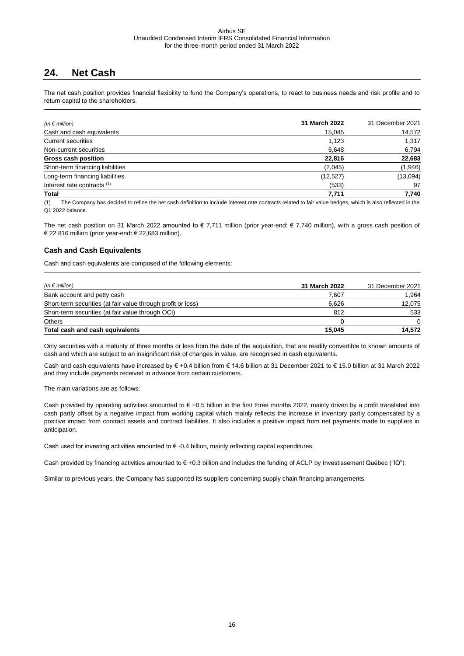### <span id="page-15-0"></span>**24. Net Cash**

The net cash position provides financial flexibility to fund the Company's operations, to react to business needs and risk profile and to return capital to the shareholders.

| (In $\epsilon$ million)                | 31 March 2022 | 31 December 2021 |
|----------------------------------------|---------------|------------------|
| Cash and cash equivalents              | 15,045        | 14,572           |
| <b>Current securities</b>              | 1,123         | 1,317            |
| Non-current securities                 | 6,648         | 6,794            |
| <b>Gross cash position</b>             | 22,816        | 22,683           |
| Short-term financing liabilities       | (2,045)       | (1,946)          |
| Long-term financing liabilities        | (12, 527)     | (13,094)         |
| Interest rate contracts <sup>(1)</sup> | (533)         | 97               |
| Total                                  | 7,711         | 7,740            |

(1) The Company has decided to refine the net cash definition to include interest rate contracts related to fair value hedges, which is also reflected in the Q1 2022 balance.

The net cash position on 31 March 2022 amounted to  $\epsilon$  7,711 million (prior year-end:  $\epsilon$  7,740 million), with a gross cash position of € 22,816 million (prior year-end: € 22,683 million).

#### **Cash and Cash Equivalents**

Cash and cash equivalents are composed of the following elements:

| (In $\epsilon$ million)                                      | 31 March 2022 | 31 December 2021 |
|--------------------------------------------------------------|---------------|------------------|
| Bank account and petty cash                                  | 7.607         | 1,964            |
| Short-term securities (at fair value through profit or loss) | 6.626         | 12,075           |
| Short-term securities (at fair value through OCI)            | 812           | 533              |
| <b>Others</b>                                                |               | $\Omega$         |
| Total cash and cash equivalents                              | 15,045        | 14.572           |

Only securities with a maturity of three months or less from the date of the acquisition, that are readily convertible to known amounts of cash and which are subject to an insignificant risk of changes in value, are recognised in cash equivalents.

Cash and cash equivalents have increased by € +0.4 billion from € 14.6 billion at 31 December 2021 to € 15.0 billion at 31 March 2022 and they include payments received in advance from certain customers.

The main variations are as follows:

Cash provided by operating activities amounted to  $\epsilon$  +0.5 billion in the first three months 2022, mainly driven by a profit translated into cash partly offset by a negative impact from working capital which mainly reflects the increase in inventory partly compensated by a positive impact from contract assets and contract liabilities. It also includes a positive impact from net payments made to suppliers in anticipation.

Cash used for investing activities amounted to € -0.4 billion, mainly reflecting capital expenditures.

Cash provided by financing activities amounted to  $\epsilon$  +0.3 billion and includes the funding of ACLP by Investissement Québec ("IQ").

Similar to previous years, the Company has supported its suppliers concerning supply chain financing arrangements.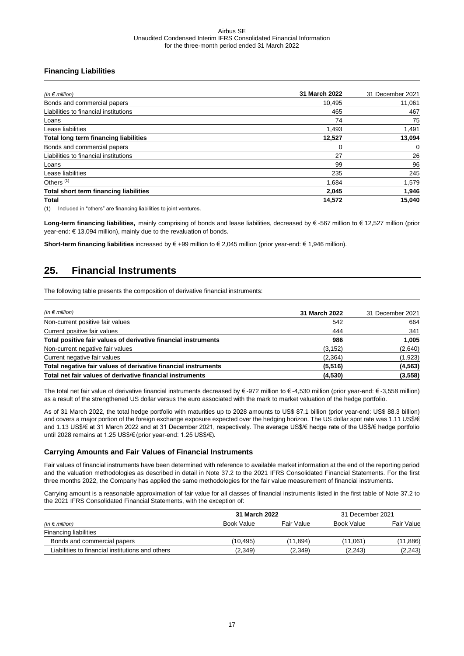#### **Financing Liabilities**

| (In $\epsilon$ million)                      | 31 March 2022 | 31 December 2021 |
|----------------------------------------------|---------------|------------------|
| Bonds and commercial papers                  | 10,495        | 11,061           |
| Liabilities to financial institutions        | 465           | 467              |
| Loans                                        | 74            | 75               |
| Lease liabilities                            | 1,493         | 1,491            |
| <b>Total long term financing liabilities</b> | 12,527        | 13,094           |
| Bonds and commercial papers                  | $\Omega$      | 0                |
| Liabilities to financial institutions        | 27            | 26               |
| Loans                                        | 99            | 96               |
| Lease liabilities                            | 235           | 245              |
| Others <sup>(1)</sup>                        | 1,684         | 1,579            |
| Total short term financing liabilities       | 2.045         | 1,946            |
| Total                                        | 14,572        | 15,040           |

(1) Included in "others" are financing liabilities to joint ventures.

**Long-term financing liabilities,** mainly comprising of bonds and lease liabilities, decreased by € -567 million to € 12,527 million (prior year-end: € 13,094 million), mainly due to the revaluation of bonds.

<span id="page-16-0"></span>**Short-term financing liabilities** increased by € +99 million to € 2,045 million (prior year-end: € 1,946 million).

### **25. Financial Instruments**

The following table presents the composition of derivative financial instruments:

| (In $\epsilon$ million)                                        | 31 March 2022 | 31 December 2021 |
|----------------------------------------------------------------|---------------|------------------|
| Non-current positive fair values                               | 542           | 664              |
| Current positive fair values                                   | 444           | 341              |
| Total positive fair values of derivative financial instruments | 986           | 1,005            |
| Non-current negative fair values                               | (3, 152)      | (2,640)          |
| Current negative fair values                                   | (2,364)       | (1,923)          |
| Total negative fair values of derivative financial instruments | (5, 516)      | (4, 563)         |
| Total net fair values of derivative financial instruments      | (4.530)       | (3, 558)         |

The total net fair value of derivative financial instruments decreased by € -972 million to € -4,530 million (prior year-end: € -3,558 million) as a result of the strengthened US dollar versus the euro associated with the mark to market valuation of the hedge portfolio.

As of 31 March 2022, the total hedge portfolio with maturities up to 2028 amounts to US\$ 87.1 billion (prior year-end: US\$ 88.3 billion) and covers a major portion of the foreign exchange exposure expected over the hedging horizon. The US dollar spot rate was 1.11 US\$/€ and 1.13 US\$/€ at 31 March 2022 and at 31 December 2021, respectively. The average US\$/€ hedge rate of the US\$/€ hedge portfolio until 2028 remains at 1.25 US\$/€ (prior year-end: 1.25 US\$/€).

#### **Carrying Amounts and Fair Values of Financial Instruments**

Fair values of financial instruments have been determined with reference to available market information at the end of the reporting period and the valuation methodologies as described in detail in Note 37.2 to the 2021 IFRS Consolidated Financial Statements. For the first three months 2022, the Company has applied the same methodologies for the fair value measurement of financial instruments.

Carrying amount is a reasonable approximation of fair value for all classes of financial instruments listed in the first table of Note 37.2 to the 2021 IFRS Consolidated Financial Statements, with the exception of:

| 31 March 2022                                    |            | 31 December 2021 |            |            |
|--------------------------------------------------|------------|------------------|------------|------------|
| (In $\epsilon$ million)                          | Book Value | Fair Value       | Book Value | Fair Value |
| <b>Financing liabilities</b>                     |            |                  |            |            |
| Bonds and commercial papers                      | (10.495)   | (11.894)         | (11.061)   | (11,886)   |
| Liabilities to financial institutions and others | (2,349)    | (2,349)          | (2,243)    | (2, 243)   |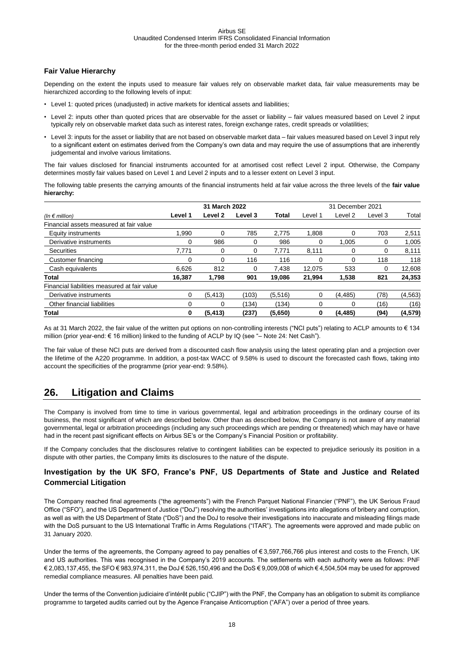#### **Fair Value Hierarchy**

Depending on the extent the inputs used to measure fair values rely on observable market data, fair value measurements may be hierarchized according to the following levels of input:

- Level 1: quoted prices (unadjusted) in active markets for identical assets and liabilities;
- Level 2: inputs other than quoted prices that are observable for the asset or liability fair values measured based on Level 2 input typically rely on observable market data such as interest rates, foreign exchange rates, credit spreads or volatilities;
- Level 3: inputs for the asset or liability that are not based on observable market data fair values measured based on Level 3 input rely to a significant extent on estimates derived from the Company's own data and may require the use of assumptions that are inherently judgemental and involve various limitations.

The fair values disclosed for financial instruments accounted for at amortised cost reflect Level 2 input. Otherwise, the Company determines mostly fair values based on Level 1 and Level 2 inputs and to a lesser extent on Level 3 input.

The following table presents the carrying amounts of the financial instruments held at fair value across the three levels of the **fair value hierarchy:**

|                                              | 31 March 2022 |              |         |         | 31 December 2021 |          |         |          |
|----------------------------------------------|---------------|--------------|---------|---------|------------------|----------|---------|----------|
| (In $\epsilon$ million)                      | Level 1       | Level 2      | Level 3 | Total   | Level 1          | Level 2  | Level 3 | Total    |
| Financial assets measured at fair value      |               |              |         |         |                  |          |         |          |
| Equity instruments                           | 1.990         | 0            | 785     | 2.775   | 1.808            | 0        | 703     | 2,511    |
| Derivative instruments                       | 0             | 986          | 0       | 986     | 0                | 1.005    | 0       | 1,005    |
| <b>Securities</b>                            | 7.771         | $\mathbf{0}$ | 0       | 7.771   | 8,111            | 0        | 0       | 8,111    |
| Customer financing                           | 0             | 0            | 116     | 116     | 0                | 0        | 118     | 118      |
| Cash equivalents                             | 6.626         | 812          | 0       | 7.438   | 12.075           | 533      | 0       | 12,608   |
| Total                                        | 16.387        | 1.798        | 901     | 19.086  | 21.994           | 1,538    | 821     | 24,353   |
| Financial liabilities measured at fair value |               |              |         |         |                  |          |         |          |
| Derivative instruments                       | 0             | (5, 413)     | (103)   | (5,516) | 0                | (4, 485) | (78)    | (4, 563) |
| Other financial liabilities                  | 0             | 0            | (134)   | (134)   | 0                | 0        | (16)    | (16)     |
| Total                                        | 0             | (5, 413)     | (237)   | (5,650) | 0                | (4, 485) | (94)    | (4, 579) |

As at 31 March 2022, the fair value of the written put options on non-controlling interests ("NCI puts") relating to ACLP amounts to € 134 million (prior year-end: € 16 million) linked to the funding of ACLP by IQ (see "– Note 24: Net Cash").

The fair value of these NCI puts are derived from a discounted cash flow analysis using the latest operating plan and a projection over the lifetime of the A220 programme. In addition, a post-tax WACC of 9.58% is used to discount the forecasted cash flows, taking into account the specificities of the programme (prior year-end: 9.58%).

### <span id="page-17-0"></span>**26. Litigation and Claims**

The Company is involved from time to time in various governmental, legal and arbitration proceedings in the ordinary course of its business, the most significant of which are described below. Other than as described below, the Company is not aware of any material governmental, legal or arbitration proceedings (including any such proceedings which are pending or threatened) which may have or have had in the recent past significant effects on Airbus SE's or the Company's Financial Position or profitability.

If the Company concludes that the disclosures relative to contingent liabilities can be expected to prejudice seriously its position in a dispute with other parties, the Company limits its disclosures to the nature of the dispute.

#### **Investigation by the UK SFO, France's PNF, US Departments of State and Justice and Related Commercial Litigation**

The Company reached final agreements ("the agreements") with the French Parquet National Financier ("PNF"), the UK Serious Fraud Office ("SFO"), and the US Department of Justice ("DoJ") resolving the authorities' investigations into allegations of bribery and corruption, as well as with the US Department of State ("DoS") and the DoJ to resolve their investigations into inaccurate and misleading filings made with the DoS pursuant to the US International Traffic in Arms Regulations ("ITAR"). The agreements were approved and made public on 31 January 2020.

Under the terms of the agreements, the Company agreed to pay penalties of € 3,597,766,766 plus interest and costs to the French, UK and US authorities. This was recognised in the Company's 2019 accounts. The settlements with each authority were as follows: PNF € 2,083,137,455, the SFO € 983,974,311, the DoJ € 526,150,496 and the DoS € 9,009,008 of which € 4,504,504 may be used for approved remedial compliance measures. All penalties have been paid.

Under the terms of the Convention judiciaire d'intérêt public ("CJIP") with the PNF, the Company has an obligation to submit its compliance programme to targeted audits carried out by the Agence Française Anticorruption ("AFA") over a period of three years.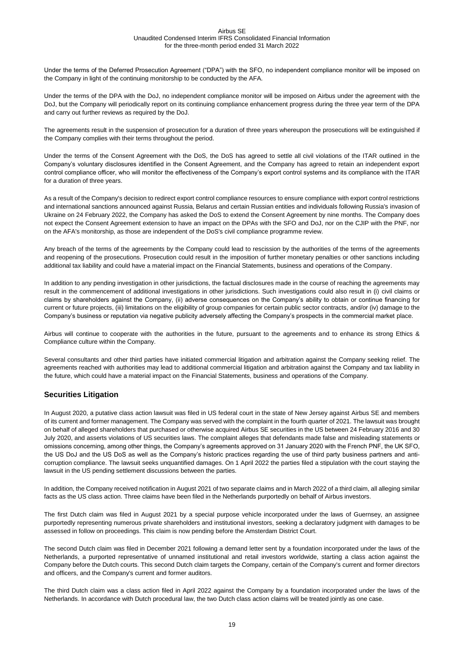Under the terms of the Deferred Prosecution Agreement ("DPA") with the SFO, no independent compliance monitor will be imposed on the Company in light of the continuing monitorship to be conducted by the AFA.

Under the terms of the DPA with the DoJ, no independent compliance monitor will be imposed on Airbus under the agreement with the DoJ, but the Company will periodically report on its continuing compliance enhancement progress during the three year term of the DPA and carry out further reviews as required by the DoJ.

The agreements result in the suspension of prosecution for a duration of three years whereupon the prosecutions will be extinguished if the Company complies with their terms throughout the period.

Under the terms of the Consent Agreement with the DoS, the DoS has agreed to settle all civil violations of the ITAR outlined in the Company's voluntary disclosures identified in the Consent Agreement, and the Company has agreed to retain an independent export control compliance officer, who will monitor the effectiveness of the Company's export control systems and its compliance with the ITAR for a duration of three years.

As a result of the Company's decision to redirect export control compliance resources to ensure compliance with export control restrictions and international sanctions announced against Russia, Belarus and certain Russian entities and individuals following Russia's invasion of Ukraine on 24 February 2022, the Company has asked the DoS to extend the Consent Agreement by nine months. The Company does not expect the Consent Agreement extension to have an impact on the DPAs with the SFO and DoJ, nor on the CJIP with the PNF, nor on the AFA's monitorship, as those are independent of the DoS's civil compliance programme review.

Any breach of the terms of the agreements by the Company could lead to rescission by the authorities of the terms of the agreements and reopening of the prosecutions. Prosecution could result in the imposition of further monetary penalties or other sanctions including additional tax liability and could have a material impact on the Financial Statements, business and operations of the Company.

In addition to any pending investigation in other jurisdictions, the factual disclosures made in the course of reaching the agreements may result in the commencement of additional investigations in other jurisdictions. Such investigations could also result in (i) civil claims or claims by shareholders against the Company, (ii) adverse consequences on the Company's ability to obtain or continue financing for current or future projects, (iii) limitations on the eligibility of group companies for certain public sector contracts, and/or (iv) damage to the Company's business or reputation via negative publicity adversely affecting the Company's prospects in the commercial market place.

Airbus will continue to cooperate with the authorities in the future, pursuant to the agreements and to enhance its strong Ethics & Compliance culture within the Company.

Several consultants and other third parties have initiated commercial litigation and arbitration against the Company seeking relief. The agreements reached with authorities may lead to additional commercial litigation and arbitration against the Company and tax liability in the future, which could have a material impact on the Financial Statements, business and operations of the Company.

#### **Securities Litigation**

In August 2020, a putative class action lawsuit was filed in US federal court in the state of New Jersey against Airbus SE and members of its current and former management. The Company was served with the complaint in the fourth quarter of 2021. The lawsuit was brought on behalf of alleged shareholders that purchased or otherwise acquired Airbus SE securities in the US between 24 February 2016 and 30 July 2020, and asserts violations of US securities laws. The complaint alleges that defendants made false and misleading statements or omissions concerning, among other things, the Company's agreements approved on 31 January 2020 with the French PNF, the UK SFO, the US DoJ and the US DoS as well as the Company's historic practices regarding the use of third party business partners and anticorruption compliance. The lawsuit seeks unquantified damages. On 1 April 2022 the parties filed a stipulation with the court staying the lawsuit in the US pending settlement discussions between the parties.

In addition, the Company received notification in August 2021 of two separate claims and in March 2022 of a third claim, all alleging similar facts as the US class action. Three claims have been filed in the Netherlands purportedly on behalf of Airbus investors.

The first Dutch claim was filed in August 2021 by a special purpose vehicle incorporated under the laws of Guernsey, an assignee purportedly representing numerous private shareholders and institutional investors, seeking a declaratory judgment with damages to be assessed in follow on proceedings. This claim is now pending before the Amsterdam District Court.

The second Dutch claim was filed in December 2021 following a demand letter sent by a foundation incorporated under the laws of the Netherlands, a purported representative of unnamed institutional and retail investors worldwide, starting a class action against the Company before the Dutch courts. This second Dutch claim targets the Company, certain of the Company's current and former directors and officers, and the Company's current and former auditors.

The third Dutch claim was a class action filed in April 2022 against the Company by a foundation incorporated under the laws of the Netherlands. In accordance with Dutch procedural law, the two Dutch class action claims will be treated jointly as one case.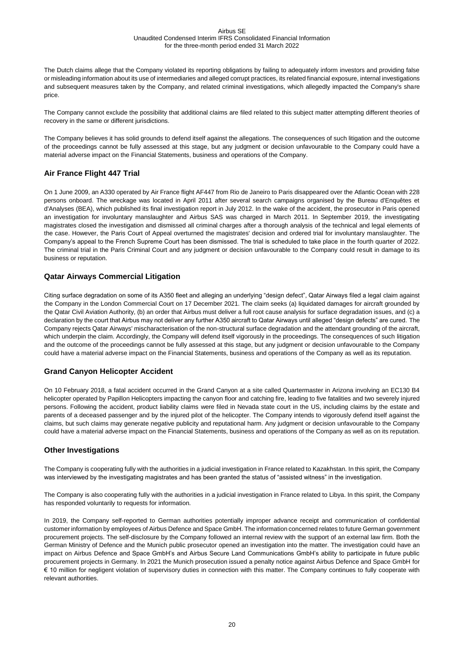The Dutch claims allege that the Company violated its reporting obligations by failing to adequately inform investors and providing false or misleading information about its use of intermediaries and alleged corrupt practices, its related financial exposure, internal investigations and subsequent measures taken by the Company, and related criminal investigations, which allegedly impacted the Company's share price.

The Company cannot exclude the possibility that additional claims are filed related to this subject matter attempting different theories of recovery in the same or different jurisdictions.

The Company believes it has solid grounds to defend itself against the allegations. The consequences of such litigation and the outcome of the proceedings cannot be fully assessed at this stage, but any judgment or decision unfavourable to the Company could have a material adverse impact on the Financial Statements, business and operations of the Company.

#### **Air France Flight 447 Trial**

On 1 June 2009, an A330 operated by Air France flight AF447 from Rio de Janeiro to Paris disappeared over the Atlantic Ocean with 228 persons onboard. The wreckage was located in April 2011 after several search campaigns organised by the Bureau d'Enquêtes et d'Analyses (BEA), which published its final investigation report in July 2012. In the wake of the accident, the prosecutor in Paris opened an investigation for involuntary manslaughter and Airbus SAS was charged in March 2011. In September 2019, the investigating magistrates closed the investigation and dismissed all criminal charges after a thorough analysis of the technical and legal elements of the case. However, the Paris Court of Appeal overturned the magistrates' decision and ordered trial for involuntary manslaughter. The Company's appeal to the French Supreme Court has been dismissed. The trial is scheduled to take place in the fourth quarter of 2022. The criminal trial in the Paris Criminal Court and any judgment or decision unfavourable to the Company could result in damage to its business or reputation.

#### **Qatar Airways Commercial Litigation**

Citing surface degradation on some of its A350 fleet and alleging an underlying "design defect", Qatar Airways filed a legal claim against the Company in the London Commercial Court on 17 December 2021. The claim seeks (a) liquidated damages for aircraft grounded by the Qatar Civil Aviation Authority, (b) an order that Airbus must deliver a full root cause analysis for surface degradation issues, and (c) a declaration by the court that Airbus may not deliver any further A350 aircraft to Qatar Airways until alleged "design defects" are cured. The Company rejects Qatar Airways' mischaracterisation of the non-structural surface degradation and the attendant grounding of the aircraft, which underpin the claim. Accordingly, the Company will defend itself vigorously in the proceedings. The consequences of such litigation and the outcome of the proceedings cannot be fully assessed at this stage, but any judgment or decision unfavourable to the Company could have a material adverse impact on the Financial Statements, business and operations of the Company as well as its reputation.

#### **Grand Canyon Helicopter Accident**

On 10 February 2018, a fatal accident occurred in the Grand Canyon at a site called Quartermaster in Arizona involving an EC130 B4 helicopter operated by Papillon Helicopters impacting the canyon floor and catching fire, leading to five fatalities and two severely injured persons. Following the accident, product liability claims were filed in Nevada state court in the US, including claims by the estate and parents of a deceased passenger and by the injured pilot of the helicopter. The Company intends to vigorously defend itself against the claims, but such claims may generate negative publicity and reputational harm. Any judgment or decision unfavourable to the Company could have a material adverse impact on the Financial Statements, business and operations of the Company as well as on its reputation.

#### **Other Investigations**

The Company is cooperating fully with the authorities in a judicial investigation in France related to Kazakhstan. In this spirit, the Company was interviewed by the investigating magistrates and has been granted the status of "assisted witness" in the investigation.

The Company is also cooperating fully with the authorities in a judicial investigation in France related to Libya. In this spirit, the Company has responded voluntarily to requests for information.

In 2019, the Company self-reported to German authorities potentially improper advance receipt and communication of confidential customer information by employees of Airbus Defence and Space GmbH. The information concerned relates to future German government procurement projects. The self-disclosure by the Company followed an internal review with the support of an external law firm. Both the German Ministry of Defence and the Munich public prosecutor opened an investigation into the matter. The investigation could have an impact on Airbus Defence and Space GmbH's and Airbus Secure Land Communications GmbH's ability to participate in future public procurement projects in Germany. In 2021 the Munich prosecution issued a penalty notice against Airbus Defence and Space GmbH for € 10 million for negligent violation of supervisory duties in connection with this matter. The Company continues to fully cooperate with relevant authorities.